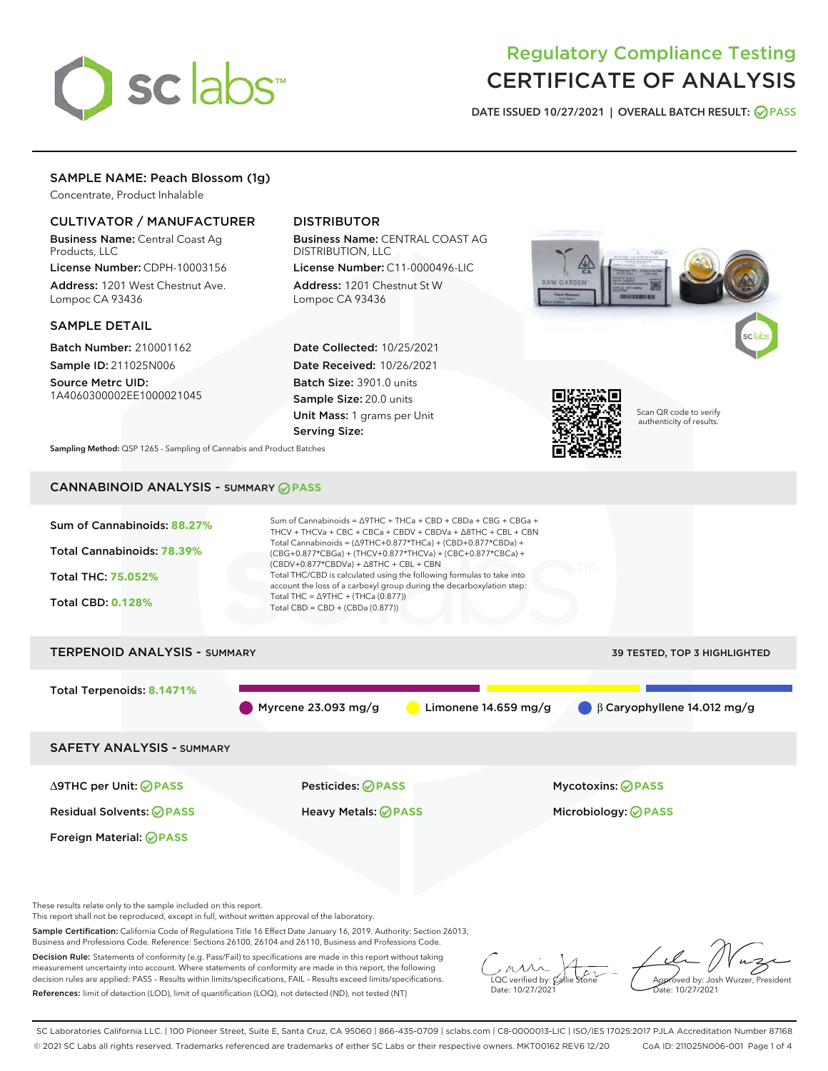

# Regulatory Compliance Testing CERTIFICATE OF ANALYSIS

DATE ISSUED 10/27/2021 | OVERALL BATCH RESULT: @ PASS

# SAMPLE NAME: Peach Blossom (1g)

Concentrate, Product Inhalable

# CULTIVATOR / MANUFACTURER

Business Name: Central Coast Ag Products, LLC

License Number: CDPH-10003156 Address: 1201 West Chestnut Ave. Lompoc CA 93436

#### SAMPLE DETAIL

Batch Number: 210001162 Sample ID: 211025N006 Source Metrc UID:

1A4060300002EE1000021045

# DISTRIBUTOR

Business Name: CENTRAL COAST AG DISTRIBUTION, LLC License Number: C11-0000496-LIC

Address: 1201 Chestnut St W Lompoc CA 93436

Date Collected: 10/25/2021 Date Received: 10/26/2021 Batch Size: 3901.0 units Sample Size: 20.0 units Unit Mass: 1 grams per Unit Serving Size:





Scan QR code to verify authenticity of results.

Sampling Method: QSP 1265 - Sampling of Cannabis and Product Batches

# CANNABINOID ANALYSIS - SUMMARY **PASS**

| Sum of Cannabinoids: 88.27%<br>Total Cannabinoids: 78.39%<br><b>Total THC: 75.052%</b><br><b>Total CBD: 0.128%</b>           | Sum of Cannabinoids = $\triangle$ 9THC + THCa + CBD + CBDa + CBG + CBGa +<br>THCV + THCVa + CBC + CBCa + CBDV + CBDVa + $\land$ 8THC + CBL + CBN<br>Total Cannabinoids = $(\Delta$ 9THC+0.877*THCa) + (CBD+0.877*CBDa) +<br>(CBG+0.877*CBGa) + (THCV+0.877*THCVa) + (CBC+0.877*CBCa) +<br>$(CBDV+0.877*CBDVa) + \Delta 8THC + CBL + CBN$<br>Total THC/CBD is calculated using the following formulas to take into<br>account the loss of a carboxyl group during the decarboxylation step:<br>Total THC = $\triangle$ 9THC + (THCa (0.877))<br>Total CBD = CBD + (CBDa (0.877)) |                              |  |  |  |
|------------------------------------------------------------------------------------------------------------------------------|---------------------------------------------------------------------------------------------------------------------------------------------------------------------------------------------------------------------------------------------------------------------------------------------------------------------------------------------------------------------------------------------------------------------------------------------------------------------------------------------------------------------------------------------------------------------------------|------------------------------|--|--|--|
| <b>TERPENOID ANALYSIS - SUMMARY</b>                                                                                          |                                                                                                                                                                                                                                                                                                                                                                                                                                                                                                                                                                                 | 39 TESTED, TOP 3 HIGHLIGHTED |  |  |  |
| Total Terpenoids: 8.1471%<br>$\bigcirc$ $\beta$ Caryophyllene 14.012 mg/g<br>Myrcene $23.093$ mg/g<br>Limonene $14.659$ mg/g |                                                                                                                                                                                                                                                                                                                                                                                                                                                                                                                                                                                 |                              |  |  |  |
| <b>SAFETY ANALYSIS - SUMMARY</b>                                                                                             |                                                                                                                                                                                                                                                                                                                                                                                                                                                                                                                                                                                 |                              |  |  |  |
| ∆9THC per Unit: ⊘PASS                                                                                                        | Pesticides: ⊘PASS                                                                                                                                                                                                                                                                                                                                                                                                                                                                                                                                                               | <b>Mycotoxins: ⊘PASS</b>     |  |  |  |
| <b>Residual Solvents: ⊘PASS</b>                                                                                              | <b>Heavy Metals: ⊘ PASS</b>                                                                                                                                                                                                                                                                                                                                                                                                                                                                                                                                                     | Microbiology: <b>⊘PASS</b>   |  |  |  |
| Foreign Material: <b>⊘ PASS</b>                                                                                              |                                                                                                                                                                                                                                                                                                                                                                                                                                                                                                                                                                                 |                              |  |  |  |
|                                                                                                                              |                                                                                                                                                                                                                                                                                                                                                                                                                                                                                                                                                                                 |                              |  |  |  |

These results relate only to the sample included on this report.

This report shall not be reproduced, except in full, without written approval of the laboratory.

Sample Certification: California Code of Regulations Title 16 Effect Date January 16, 2019. Authority: Section 26013, Business and Professions Code. Reference: Sections 26100, 26104 and 26110, Business and Professions Code.

Decision Rule: Statements of conformity (e.g. Pass/Fail) to specifications are made in this report without taking measurement uncertainty into account. Where statements of conformity are made in this report, the following decision rules are applied: PASS – Results within limits/specifications, FAIL – Results exceed limits/specifications. References: limit of detection (LOD), limit of quantification (LOQ), not detected (ND), not tested (NT)

 $\sim$  CC verified by:  $\mathcal{C}_i$ Date: 10/27/2021

Approved by: Josh Wurzer, President ate: 10/27/2021

SC Laboratories California LLC. | 100 Pioneer Street, Suite E, Santa Cruz, CA 95060 | 866-435-0709 | sclabs.com | C8-0000013-LIC | ISO/IES 17025:2017 PJLA Accreditation Number 87168 © 2021 SC Labs all rights reserved. Trademarks referenced are trademarks of either SC Labs or their respective owners. MKT00162 REV6 12/20 CoA ID: 211025N006-001 Page 1 of 4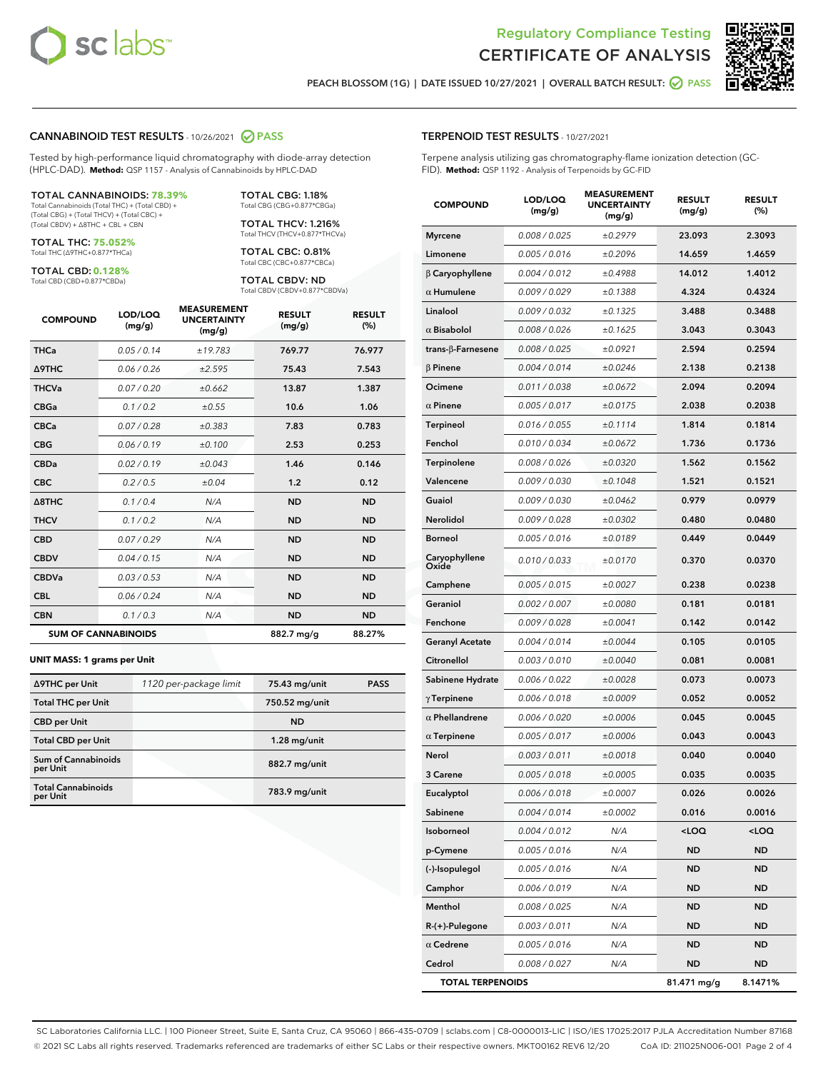



PEACH BLOSSOM (1G) | DATE ISSUED 10/27/2021 | OVERALL BATCH RESULT: **○** PASS

#### CANNABINOID TEST RESULTS - 10/26/2021 2 PASS

Tested by high-performance liquid chromatography with diode-array detection (HPLC-DAD). **Method:** QSP 1157 - Analysis of Cannabinoids by HPLC-DAD

#### TOTAL CANNABINOIDS: **78.39%**

Total Cannabinoids (Total THC) + (Total CBD) + (Total CBG) + (Total THCV) + (Total CBC) + (Total CBDV) + ∆8THC + CBL + CBN

TOTAL THC: **75.052%** Total THC (∆9THC+0.877\*THCa)

TOTAL CBD: **0.128%**

Total CBD (CBD+0.877\*CBDa)

TOTAL CBG: 1.18% Total CBG (CBG+0.877\*CBGa)

TOTAL THCV: 1.216% Total THCV (THCV+0.877\*THCVa)

TOTAL CBC: 0.81% Total CBC (CBC+0.877\*CBCa)

TOTAL CBDV: ND Total CBDV (CBDV+0.877\*CBDVa)

| <b>COMPOUND</b>  | LOD/LOQ<br>(mg/g)          | <b>MEASUREMENT</b><br><b>UNCERTAINTY</b><br>(mg/g) | <b>RESULT</b><br>(mg/g) | <b>RESULT</b><br>(%) |
|------------------|----------------------------|----------------------------------------------------|-------------------------|----------------------|
| <b>THCa</b>      | 0.05/0.14                  | ±19.783                                            | 769.77                  | 76.977               |
| <b>A9THC</b>     | 0.06 / 0.26                | ±2.595                                             | 75.43                   | 7.543                |
| <b>THCVa</b>     | 0.07 / 0.20                | ±0.662                                             | 13.87                   | 1.387                |
| <b>CBGa</b>      | 0.1 / 0.2                  | ±0.55                                              | 10.6                    | 1.06                 |
| <b>CBCa</b>      | 0.07/0.28                  | ±0.383                                             | 7.83                    | 0.783                |
| <b>CBG</b>       | 0.06/0.19                  | ±0.100                                             | 2.53                    | 0.253                |
| <b>CBDa</b>      | 0.02/0.19                  | ±0.043                                             | 1.46                    | 0.146                |
| <b>CBC</b>       | 0.2 / 0.5                  | ±0.04                                              | 1.2                     | 0.12                 |
| $\triangle$ 8THC | 0.1 / 0.4                  | N/A                                                | <b>ND</b>               | <b>ND</b>            |
| <b>THCV</b>      | 0.1 / 0.2                  | N/A                                                | <b>ND</b>               | <b>ND</b>            |
| <b>CBD</b>       | 0.07/0.29                  | N/A                                                | <b>ND</b>               | <b>ND</b>            |
| <b>CBDV</b>      | 0.04 / 0.15                | N/A                                                | <b>ND</b>               | <b>ND</b>            |
| <b>CBDVa</b>     | 0.03 / 0.53                | N/A                                                | <b>ND</b>               | <b>ND</b>            |
| <b>CBL</b>       | 0.06 / 0.24                | N/A                                                | <b>ND</b>               | <b>ND</b>            |
| <b>CBN</b>       | 0.1/0.3                    | N/A                                                | <b>ND</b>               | <b>ND</b>            |
|                  | <b>SUM OF CANNABINOIDS</b> |                                                    | 882.7 mg/g              | 88.27%               |

#### **UNIT MASS: 1 grams per Unit**

| ∆9THC per Unit                        | 1120 per-package limit | 75.43 mg/unit  | <b>PASS</b> |
|---------------------------------------|------------------------|----------------|-------------|
| <b>Total THC per Unit</b>             |                        | 750.52 mg/unit |             |
| <b>CBD</b> per Unit                   |                        | <b>ND</b>      |             |
| <b>Total CBD per Unit</b>             |                        | $1.28$ mg/unit |             |
| Sum of Cannabinoids<br>per Unit       |                        | 882.7 mg/unit  |             |
| <b>Total Cannabinoids</b><br>per Unit |                        | 783.9 mg/unit  |             |

#### TERPENOID TEST RESULTS - 10/27/2021

Terpene analysis utilizing gas chromatography-flame ionization detection (GC-FID). **Method:** QSP 1192 - Analysis of Terpenoids by GC-FID

| <b>COMPOUND</b>           | LOD/LOQ<br>(mg/g) | <b>MEASUREMENT</b><br><b>UNCERTAINTY</b><br>(mg/g) | <b>RESULT</b><br>(mg/g) | <b>RESULT</b><br>(%) |
|---------------------------|-------------------|----------------------------------------------------|-------------------------|----------------------|
| <b>Myrcene</b>            | 0.008 / 0.025     | ±0.2979                                            | 23.093                  | 2.3093               |
| Limonene                  | 0.005 / 0.016     | ±0.2096                                            | 14.659                  | 1.4659               |
| $\beta$ Caryophyllene     | 0.004 / 0.012     | ±0.4988                                            | 14.012                  | 1.4012               |
| $\alpha$ Humulene         | 0.009/0.029       | ±0.1388                                            | 4.324                   | 0.4324               |
| Linalool                  | 0.009 / 0.032     | ±0.1325                                            | 3.488                   | 0.3488               |
| $\alpha$ Bisabolol        | 0.008 / 0.026     | ±0.1625                                            | 3.043                   | 0.3043               |
| trans- $\beta$ -Farnesene | 0.008 / 0.025     | ±0.0921                                            | 2.594                   | 0.2594               |
| $\beta$ Pinene            | 0.004 / 0.014     | ±0.0246                                            | 2.138                   | 0.2138               |
| Ocimene                   | 0.011 / 0.038     | ±0.0672                                            | 2.094                   | 0.2094               |
| $\alpha$ Pinene           | 0.005 / 0.017     | ±0.0175                                            | 2.038                   | 0.2038               |
| <b>Terpineol</b>          | 0.016 / 0.055     | ±0.1114                                            | 1.814                   | 0.1814               |
| Fenchol                   | 0.010 / 0.034     | ±0.0672                                            | 1.736                   | 0.1736               |
| Terpinolene               | 0.008 / 0.026     | ±0.0320                                            | 1.562                   | 0.1562               |
| Valencene                 | 0.009 / 0.030     | ±0.1048                                            | 1.521                   | 0.1521               |
| Guaiol                    | 0.009 / 0.030     | ±0.0462                                            | 0.979                   | 0.0979               |
| <b>Nerolidol</b>          | 0.009 / 0.028     | ±0.0302                                            | 0.480                   | 0.0480               |
| <b>Borneol</b>            | 0.005 / 0.016     | ±0.0189                                            | 0.449                   | 0.0449               |
| Caryophyllene<br>Oxide    | 0.010 / 0.033     | ±0.0170                                            | 0.370                   | 0.0370               |
| Camphene                  | 0.005 / 0.015     | ±0.0027                                            | 0.238                   | 0.0238               |
| Geraniol                  | 0.002 / 0.007     | ±0.0080                                            | 0.181                   | 0.0181               |
| Fenchone                  | 0.009 / 0.028     | ±0.0041                                            | 0.142                   | 0.0142               |
| <b>Geranyl Acetate</b>    | 0.004 / 0.014     | ±0.0044                                            | 0.105                   | 0.0105               |
| Citronellol               | 0.003 / 0.010     | ±0.0040                                            | 0.081                   | 0.0081               |
| Sabinene Hydrate          | 0.006 / 0.022     | ±0.0028                                            | 0.073                   | 0.0073               |
| $\gamma$ Terpinene        | 0.006 / 0.018     | ±0.0009                                            | 0.052                   | 0.0052               |
| $\alpha$ Phellandrene     | 0.006 / 0.020     | ±0.0006                                            | 0.045                   | 0.0045               |
| $\alpha$ Terpinene        | 0.005 / 0.017     | ±0.0006                                            | 0.043                   | 0.0043               |
| Nerol                     | 0.003 / 0.011     | ±0.0018                                            | 0.040                   | 0.0040               |
| 3 Carene                  | 0.005 / 0.018     | ±0.0005                                            | 0.035                   | 0.0035               |
| Eucalyptol                | 0.006 / 0.018     | ±0.0007                                            | 0.026                   | 0.0026               |
| Sabinene                  | 0.004 / 0.014     | ±0.0002                                            | 0.016                   | 0.0016               |
| Isoborneol                | 0.004 / 0.012     | N/A                                                | $<$ LOQ                 | $<$ LOQ              |
| p-Cymene                  | 0.005 / 0.016     | N/A                                                | <b>ND</b>               | ND                   |
| (-)-Isopulegol            | 0.005 / 0.016     | N/A                                                | ND                      | ND                   |
| Camphor                   | 0.006 / 0.019     | N/A                                                | ND                      | <b>ND</b>            |
| Menthol                   | 0.008 / 0.025     | N/A                                                | <b>ND</b>               | <b>ND</b>            |
| $R-(+)$ -Pulegone         | 0.003 / 0.011     | N/A                                                | ND                      | ND                   |
| $\alpha$ Cedrene          | 0.005 / 0.016     | N/A                                                | <b>ND</b>               | <b>ND</b>            |
| Cedrol                    | 0.008 / 0.027     | N/A                                                | <b>ND</b>               | ND                   |
| <b>TOTAL TERPENOIDS</b>   |                   |                                                    | 81.471 mg/g             | 8.1471%              |

SC Laboratories California LLC. | 100 Pioneer Street, Suite E, Santa Cruz, CA 95060 | 866-435-0709 | sclabs.com | C8-0000013-LIC | ISO/IES 17025:2017 PJLA Accreditation Number 87168 © 2021 SC Labs all rights reserved. Trademarks referenced are trademarks of either SC Labs or their respective owners. MKT00162 REV6 12/20 CoA ID: 211025N006-001 Page 2 of 4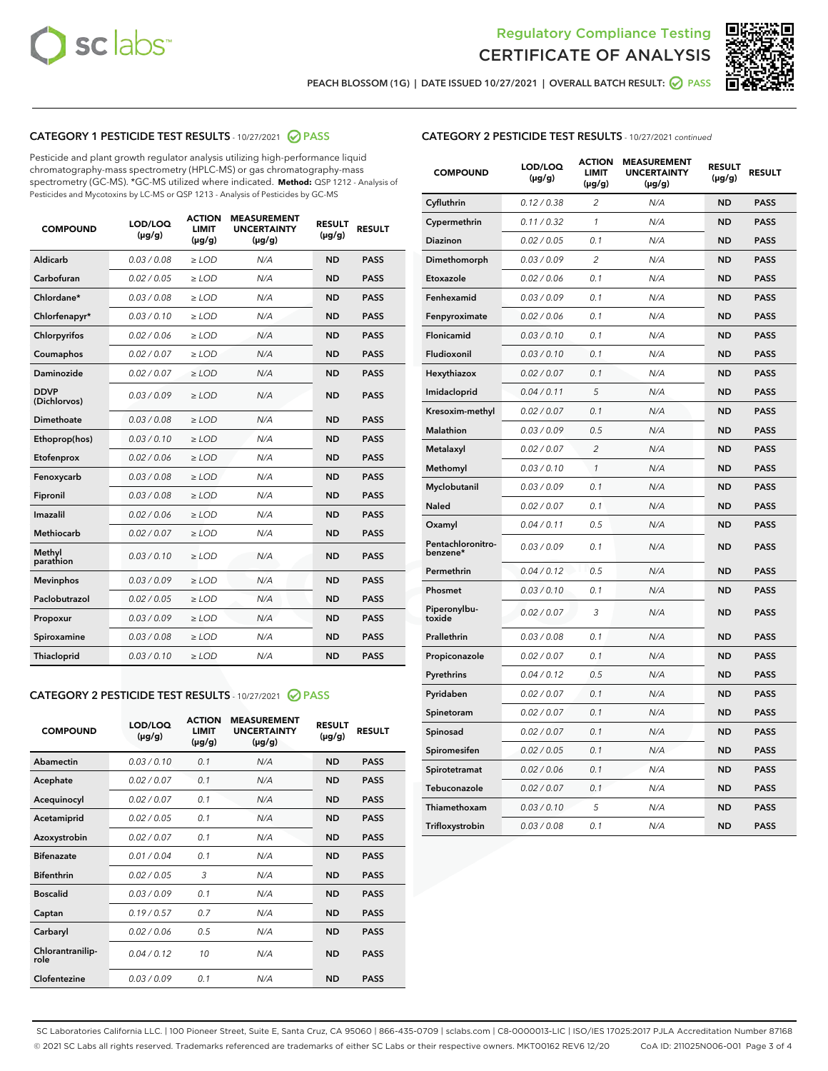



PEACH BLOSSOM (1G) | DATE ISSUED 10/27/2021 | OVERALL BATCH RESULT:  $\bigcirc$  PASS

# CATEGORY 1 PESTICIDE TEST RESULTS - 10/27/2021 2 PASS

Pesticide and plant growth regulator analysis utilizing high-performance liquid chromatography-mass spectrometry (HPLC-MS) or gas chromatography-mass spectrometry (GC-MS). \*GC-MS utilized where indicated. **Method:** QSP 1212 - Analysis of Pesticides and Mycotoxins by LC-MS or QSP 1213 - Analysis of Pesticides by GC-MS

| <b>COMPOUND</b>             | LOD/LOQ<br>$(\mu g/g)$ | <b>ACTION</b><br><b>LIMIT</b><br>$(\mu g/g)$ | <b>MEASUREMENT</b><br><b>UNCERTAINTY</b><br>$(\mu g/g)$ | <b>RESULT</b><br>$(\mu g/g)$ | <b>RESULT</b> |
|-----------------------------|------------------------|----------------------------------------------|---------------------------------------------------------|------------------------------|---------------|
| Aldicarb                    | 0.03 / 0.08            | $\ge$ LOD                                    | N/A                                                     | <b>ND</b>                    | <b>PASS</b>   |
| Carbofuran                  | 0.02 / 0.05            | $\geq$ LOD                                   | N/A                                                     | <b>ND</b>                    | <b>PASS</b>   |
| Chlordane*                  | 0.03 / 0.08            | $\ge$ LOD                                    | N/A                                                     | <b>ND</b>                    | <b>PASS</b>   |
| Chlorfenapyr*               | 0.03/0.10              | $\geq$ LOD                                   | N/A                                                     | <b>ND</b>                    | <b>PASS</b>   |
| Chlorpyrifos                | 0.02 / 0.06            | $\ge$ LOD                                    | N/A                                                     | <b>ND</b>                    | <b>PASS</b>   |
| Coumaphos                   | 0.02 / 0.07            | $\ge$ LOD                                    | N/A                                                     | <b>ND</b>                    | <b>PASS</b>   |
| Daminozide                  | 0.02 / 0.07            | $\ge$ LOD                                    | N/A                                                     | <b>ND</b>                    | <b>PASS</b>   |
| <b>DDVP</b><br>(Dichlorvos) | 0.03/0.09              | $>$ LOD                                      | N/A                                                     | <b>ND</b>                    | <b>PASS</b>   |
| Dimethoate                  | 0.03 / 0.08            | $\ge$ LOD                                    | N/A                                                     | <b>ND</b>                    | <b>PASS</b>   |
| Ethoprop(hos)               | 0.03/0.10              | $>$ LOD                                      | N/A                                                     | <b>ND</b>                    | <b>PASS</b>   |
| Etofenprox                  | 0.02 / 0.06            | $\ge$ LOD                                    | N/A                                                     | <b>ND</b>                    | <b>PASS</b>   |
| Fenoxycarb                  | 0.03 / 0.08            | $\ge$ LOD                                    | N/A                                                     | <b>ND</b>                    | <b>PASS</b>   |
| Fipronil                    | 0.03 / 0.08            | $\ge$ LOD                                    | N/A                                                     | <b>ND</b>                    | <b>PASS</b>   |
| Imazalil                    | 0.02 / 0.06            | $>$ LOD                                      | N/A                                                     | <b>ND</b>                    | <b>PASS</b>   |
| <b>Methiocarb</b>           | 0.02 / 0.07            | $\ge$ LOD                                    | N/A                                                     | <b>ND</b>                    | <b>PASS</b>   |
| Methyl<br>parathion         | 0.03/0.10              | $\ge$ LOD                                    | N/A                                                     | <b>ND</b>                    | <b>PASS</b>   |
| <b>Mevinphos</b>            | 0.03/0.09              | $\ge$ LOD                                    | N/A                                                     | <b>ND</b>                    | <b>PASS</b>   |
| Paclobutrazol               | 0.02 / 0.05            | $>$ LOD                                      | N/A                                                     | <b>ND</b>                    | <b>PASS</b>   |
| Propoxur                    | 0.03/0.09              | $\ge$ LOD                                    | N/A                                                     | <b>ND</b>                    | <b>PASS</b>   |
| Spiroxamine                 | 0.03 / 0.08            | $\ge$ LOD                                    | N/A                                                     | <b>ND</b>                    | <b>PASS</b>   |
| Thiacloprid                 | 0.03/0.10              | $\ge$ LOD                                    | N/A                                                     | <b>ND</b>                    | <b>PASS</b>   |

#### CATEGORY 2 PESTICIDE TEST RESULTS - 10/27/2021 @ PASS

| <b>COMPOUND</b>          | LOD/LOQ<br>$(\mu g/g)$ | <b>ACTION</b><br><b>LIMIT</b><br>$(\mu g/g)$ | <b>MEASUREMENT</b><br><b>UNCERTAINTY</b><br>$(\mu g/g)$ | <b>RESULT</b><br>$(\mu g/g)$ | <b>RESULT</b> |
|--------------------------|------------------------|----------------------------------------------|---------------------------------------------------------|------------------------------|---------------|
| Abamectin                | 0.03/0.10              | 0.1                                          | N/A                                                     | <b>ND</b>                    | <b>PASS</b>   |
| Acephate                 | 0.02/0.07              | 0.1                                          | N/A                                                     | <b>ND</b>                    | <b>PASS</b>   |
| Acequinocyl              | 0.02/0.07              | 0.1                                          | N/A                                                     | <b>ND</b>                    | <b>PASS</b>   |
| Acetamiprid              | 0.02/0.05              | 0.1                                          | N/A                                                     | <b>ND</b>                    | <b>PASS</b>   |
| Azoxystrobin             | 0.02/0.07              | 0.1                                          | N/A                                                     | <b>ND</b>                    | <b>PASS</b>   |
| <b>Bifenazate</b>        | 0.01/0.04              | 0.1                                          | N/A                                                     | <b>ND</b>                    | <b>PASS</b>   |
| <b>Bifenthrin</b>        | 0.02/0.05              | 3                                            | N/A                                                     | <b>ND</b>                    | <b>PASS</b>   |
| <b>Boscalid</b>          | 0.03/0.09              | 0.1                                          | N/A                                                     | <b>ND</b>                    | <b>PASS</b>   |
| Captan                   | 0.19/0.57              | 0.7                                          | N/A                                                     | <b>ND</b>                    | <b>PASS</b>   |
| Carbaryl                 | 0.02/0.06              | 0.5                                          | N/A                                                     | <b>ND</b>                    | <b>PASS</b>   |
| Chlorantranilip-<br>role | 0.04/0.12              | 10                                           | N/A                                                     | <b>ND</b>                    | <b>PASS</b>   |
| Clofentezine             | 0.03/0.09              | 0.1                                          | N/A                                                     | <b>ND</b>                    | <b>PASS</b>   |

## CATEGORY 2 PESTICIDE TEST RESULTS - 10/27/2021 continued

| <b>COMPOUND</b>               | LOD/LOQ<br>(µg/g) | <b>ACTION</b><br><b>LIMIT</b><br>$(\mu g/g)$ | <b>MEASUREMENT</b><br><b>UNCERTAINTY</b><br>$(\mu g/g)$ | <b>RESULT</b><br>(µg/g) | <b>RESULT</b> |
|-------------------------------|-------------------|----------------------------------------------|---------------------------------------------------------|-------------------------|---------------|
| Cyfluthrin                    | 0.12 / 0.38       | $\overline{c}$                               | N/A                                                     | ND                      | <b>PASS</b>   |
| Cypermethrin                  | 0.11 / 0.32       | $\mathcal{I}$                                | N/A                                                     | ND                      | <b>PASS</b>   |
| <b>Diazinon</b>               | 0.02 / 0.05       | 0.1                                          | N/A                                                     | <b>ND</b>               | <b>PASS</b>   |
| Dimethomorph                  | 0.03 / 0.09       | 2                                            | N/A                                                     | ND                      | <b>PASS</b>   |
| Etoxazole                     | 0.02 / 0.06       | 0.1                                          | N/A                                                     | ND                      | <b>PASS</b>   |
| Fenhexamid                    | 0.03 / 0.09       | 0.1                                          | N/A                                                     | ND                      | <b>PASS</b>   |
| Fenpyroximate                 | 0.02 / 0.06       | 0.1                                          | N/A                                                     | <b>ND</b>               | <b>PASS</b>   |
| Flonicamid                    | 0.03 / 0.10       | 0.1                                          | N/A                                                     | ND                      | <b>PASS</b>   |
| Fludioxonil                   | 0.03 / 0.10       | 0.1                                          | N/A                                                     | ND                      | <b>PASS</b>   |
| Hexythiazox                   | 0.02 / 0.07       | 0.1                                          | N/A                                                     | ND                      | <b>PASS</b>   |
| Imidacloprid                  | 0.04 / 0.11       | 5                                            | N/A                                                     | ND                      | <b>PASS</b>   |
| Kresoxim-methyl               | 0.02 / 0.07       | 0.1                                          | N/A                                                     | ND                      | <b>PASS</b>   |
| Malathion                     | 0.03 / 0.09       | 0.5                                          | N/A                                                     | <b>ND</b>               | <b>PASS</b>   |
| Metalaxyl                     | 0.02 / 0.07       | $\overline{c}$                               | N/A                                                     | ND                      | <b>PASS</b>   |
| Methomyl                      | 0.03 / 0.10       | 1                                            | N/A                                                     | ND                      | <b>PASS</b>   |
| Myclobutanil                  | 0.03 / 0.09       | 0.1                                          | N/A                                                     | <b>ND</b>               | <b>PASS</b>   |
| Naled                         | 0.02 / 0.07       | 0.1                                          | N/A                                                     | ND                      | <b>PASS</b>   |
| Oxamyl                        | 0.04 / 0.11       | 0.5                                          | N/A                                                     | ND                      | <b>PASS</b>   |
| Pentachloronitro-<br>benzene* | 0.03 / 0.09       | 0.1                                          | N/A                                                     | ND                      | <b>PASS</b>   |
| Permethrin                    | 0.04 / 0.12       | 0.5                                          | N/A                                                     | ND                      | <b>PASS</b>   |
| Phosmet                       | 0.03 / 0.10       | 0.1                                          | N/A                                                     | ND                      | <b>PASS</b>   |
| Piperonylbu-<br>toxide        | 0.02 / 0.07       | 3                                            | N/A                                                     | ND                      | <b>PASS</b>   |
| Prallethrin                   | 0.03 / 0.08       | 0.1                                          | N/A                                                     | ND                      | <b>PASS</b>   |
| Propiconazole                 | 0.02 / 0.07       | 0.1                                          | N/A                                                     | ND                      | <b>PASS</b>   |
| Pyrethrins                    | 0.04 / 0.12       | 0.5                                          | N/A                                                     | ND                      | <b>PASS</b>   |
| Pyridaben                     | 0.02 / 0.07       | 0.1                                          | N/A                                                     | <b>ND</b>               | <b>PASS</b>   |
| Spinetoram                    | 0.02 / 0.07       | 0.1                                          | N/A                                                     | ND                      | <b>PASS</b>   |
| Spinosad                      | 0.02 / 0.07       | 0.1                                          | N/A                                                     | ND                      | <b>PASS</b>   |
| Spiromesifen                  | 0.02 / 0.05       | 0.1                                          | N/A                                                     | <b>ND</b>               | <b>PASS</b>   |
| Spirotetramat                 | 0.02 / 0.06       | 0.1                                          | N/A                                                     | ND                      | <b>PASS</b>   |
| Tebuconazole                  | 0.02 / 0.07       | 0.1                                          | N/A                                                     | ND                      | <b>PASS</b>   |
| Thiamethoxam                  | 0.03 / 0.10       | 5                                            | N/A                                                     | <b>ND</b>               | <b>PASS</b>   |
| Trifloxystrobin               | 0.03 / 0.08       | 0.1                                          | N/A                                                     | <b>ND</b>               | <b>PASS</b>   |

SC Laboratories California LLC. | 100 Pioneer Street, Suite E, Santa Cruz, CA 95060 | 866-435-0709 | sclabs.com | C8-0000013-LIC | ISO/IES 17025:2017 PJLA Accreditation Number 87168 © 2021 SC Labs all rights reserved. Trademarks referenced are trademarks of either SC Labs or their respective owners. MKT00162 REV6 12/20 CoA ID: 211025N006-001 Page 3 of 4